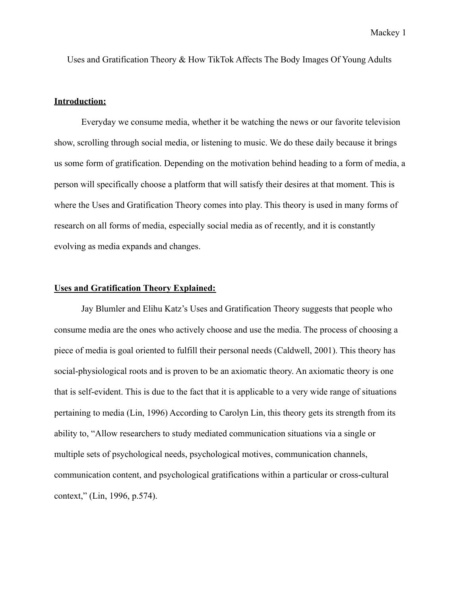Uses and Gratification Theory & How TikTok Affects The Body Images Of Young Adults

## **Introduction:**

Everyday we consume media, whether it be watching the news or our favorite television show, scrolling through social media, or listening to music. We do these daily because it brings us some form of gratification. Depending on the motivation behind heading to a form of media, a person will specifically choose a platform that will satisfy their desires at that moment. This is where the Uses and Gratification Theory comes into play. This theory is used in many forms of research on all forms of media, especially social media as of recently, and it is constantly evolving as media expands and changes.

#### **Uses and Gratification Theory Explained:**

Jay Blumler and Elihu Katz's Uses and Gratification Theory suggests that people who consume media are the ones who actively choose and use the media. The process of choosing a piece of media is goal oriented to fulfill their personal needs (Caldwell, 2001). This theory has social-physiological roots and is proven to be an axiomatic theory. An axiomatic theory is one that is self-evident. This is due to the fact that it is applicable to a very wide range of situations pertaining to media (Lin, 1996) According to Carolyn Lin, this theory gets its strength from its ability to, "Allow researchers to study mediated communication situations via a single or multiple sets of psychological needs, psychological motives, communication channels, communication content, and psychological gratifications within a particular or cross-cultural context," (Lin, 1996, p.574).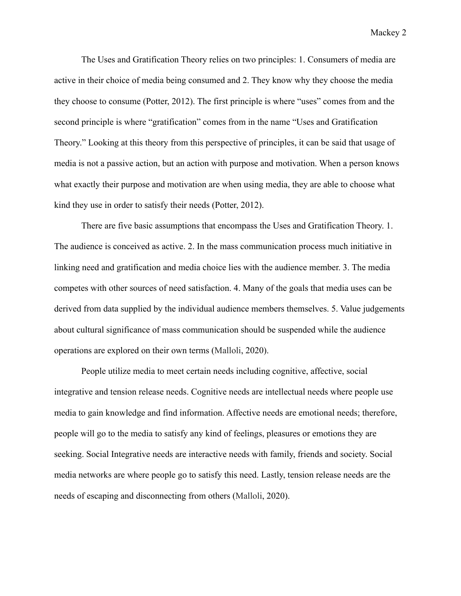The Uses and Gratification Theory relies on two principles: 1. Consumers of media are active in their choice of media being consumed and 2. They know why they choose the media they choose to consume (Potter, 2012). The first principle is where "uses" comes from and the second principle is where "gratification" comes from in the name "Uses and Gratification Theory." Looking at this theory from this perspective of principles, it can be said that usage of media is not a passive action, but an action with purpose and motivation. When a person knows what exactly their purpose and motivation are when using media, they are able to choose what kind they use in order to satisfy their needs (Potter, 2012).

There are five basic assumptions that encompass the Uses and Gratification Theory. 1. The audience is conceived as active. 2. In the mass communication process much initiative in linking need and gratification and media choice lies with the audience member. 3. The media competes with other sources of need satisfaction. 4. Many of the goals that media uses can be derived from data supplied by the individual audience members themselves. 5. Value judgements about cultural significance of mass communication should be suspended while the audience operations are explored on their own terms (Malloli, 2020).

People utilize media to meet certain needs including cognitive, affective, social integrative and tension release needs. Cognitive needs are intellectual needs where people use media to gain knowledge and find information. Affective needs are emotional needs; therefore, people will go to the media to satisfy any kind of feelings, pleasures or emotions they are seeking. Social Integrative needs are interactive needs with family, friends and society. Social media networks are where people go to satisfy this need. Lastly, tension release needs are the needs of escaping and disconnecting from others (Malloli, 2020).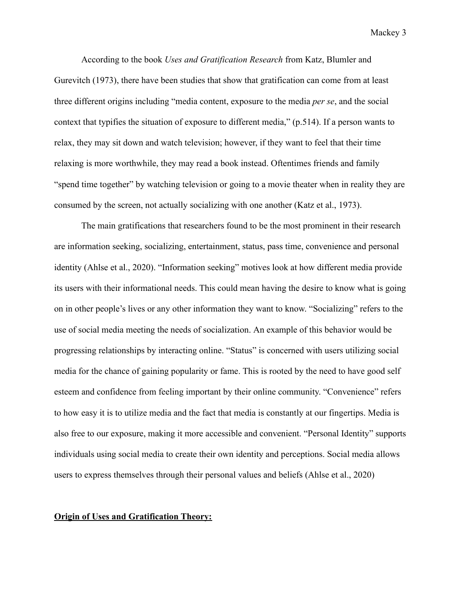According to the book *Uses and Gratification Research* from Katz, Blumler and Gurevitch (1973), there have been studies that show that gratification can come from at least three different origins including "media content, exposure to the media *per se*, and the social context that typifies the situation of exposure to different media," (p.514). If a person wants to relax, they may sit down and watch television; however, if they want to feel that their time relaxing is more worthwhile, they may read a book instead. Oftentimes friends and family "spend time together" by watching television or going to a movie theater when in reality they are consumed by the screen, not actually socializing with one another (Katz et al., 1973).

The main gratifications that researchers found to be the most prominent in their research are information seeking, socializing, entertainment, status, pass time, convenience and personal identity (Ahlse et al., 2020). "Information seeking" motives look at how different media provide its users with their informational needs. This could mean having the desire to know what is going on in other people's lives or any other information they want to know. "Socializing" refers to the use of social media meeting the needs of socialization. An example of this behavior would be progressing relationships by interacting online. "Status" is concerned with users utilizing social media for the chance of gaining popularity or fame. This is rooted by the need to have good self esteem and confidence from feeling important by their online community. "Convenience" refers to how easy it is to utilize media and the fact that media is constantly at our fingertips. Media is also free to our exposure, making it more accessible and convenient. "Personal Identity" supports individuals using social media to create their own identity and perceptions. Social media allows users to express themselves through their personal values and beliefs (Ahlse et al., 2020)

### **Origin of Uses and Gratification Theory:**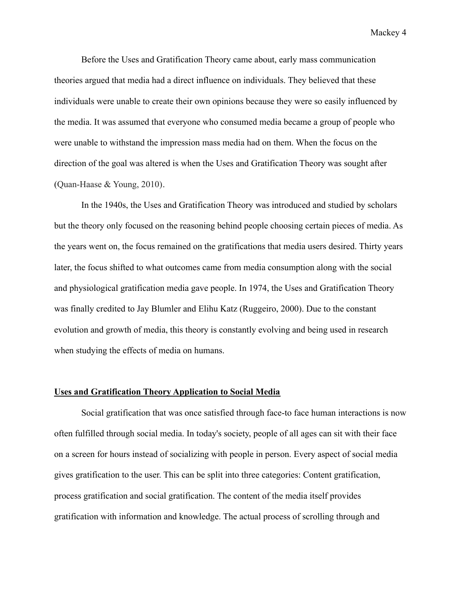Before the Uses and Gratification Theory came about, early mass communication theories argued that media had a direct influence on individuals. They believed that these individuals were unable to create their own opinions because they were so easily influenced by the media. It was assumed that everyone who consumed media became a group of people who were unable to withstand the impression mass media had on them. When the focus on the direction of the goal was altered is when the Uses and Gratification Theory was sought after (Quan-Haase & Young, 2010).

In the 1940s, the Uses and Gratification Theory was introduced and studied by scholars but the theory only focused on the reasoning behind people choosing certain pieces of media. As the years went on, the focus remained on the gratifications that media users desired. Thirty years later, the focus shifted to what outcomes came from media consumption along with the social and physiological gratification media gave people. In 1974, the Uses and Gratification Theory was finally credited to Jay Blumler and Elihu Katz (Ruggeiro, 2000). Due to the constant evolution and growth of media, this theory is constantly evolving and being used in research when studying the effects of media on humans.

## **Uses and Gratification Theory Application to Social Media**

Social gratification that was once satisfied through face-to face human interactions is now often fulfilled through social media. In today's society, people of all ages can sit with their face on a screen for hours instead of socializing with people in person. Every aspect of social media gives gratification to the user. This can be split into three categories: Content gratification, process gratification and social gratification. The content of the media itself provides gratification with information and knowledge. The actual process of scrolling through and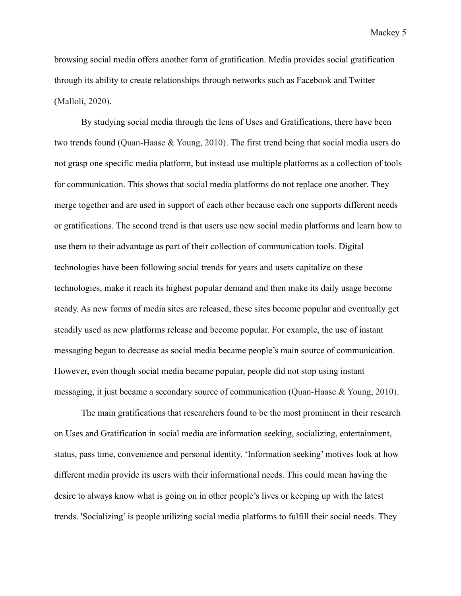browsing social media offers another form of gratification. Media provides social gratification through its ability to create relationships through networks such as Facebook and Twitter (Malloli, 2020).

By studying social media through the lens of Uses and Gratifications, there have been two trends found (Quan-Haase & Young, 2010). The first trend being that social media users do not grasp one specific media platform, but instead use multiple platforms as a collection of tools for communication. This shows that social media platforms do not replace one another. They merge together and are used in support of each other because each one supports different needs or gratifications. The second trend is that users use new social media platforms and learn how to use them to their advantage as part of their collection of communication tools. Digital technologies have been following social trends for years and users capitalize on these technologies, make it reach its highest popular demand and then make its daily usage become steady. As new forms of media sites are released, these sites become popular and eventually get steadily used as new platforms release and become popular. For example, the use of instant messaging began to decrease as social media became people's main source of communication. However, even though social media became popular, people did not stop using instant messaging, it just became a secondary source of communication (Quan-Haase & Young, 2010).

The main gratifications that researchers found to be the most prominent in their research on Uses and Gratification in social media are information seeking, socializing, entertainment, status, pass time, convenience and personal identity. 'Information seeking' motives look at how different media provide its users with their informational needs. This could mean having the desire to always know what is going on in other people's lives or keeping up with the latest trends. 'Socializing' is people utilizing social media platforms to fulfill their social needs. They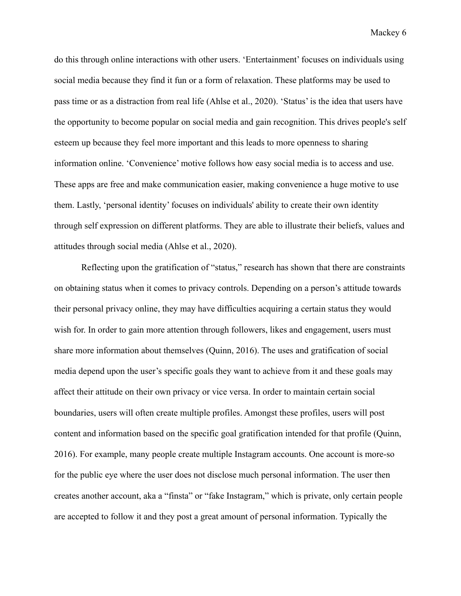do this through online interactions with other users. 'Entertainment' focuses on individuals using social media because they find it fun or a form of relaxation. These platforms may be used to pass time or as a distraction from real life (Ahlse et al., 2020). 'Status' is the idea that users have the opportunity to become popular on social media and gain recognition. This drives people's self esteem up because they feel more important and this leads to more openness to sharing information online. 'Convenience' motive follows how easy social media is to access and use. These apps are free and make communication easier, making convenience a huge motive to use them. Lastly, 'personal identity' focuses on individuals' ability to create their own identity through self expression on different platforms. They are able to illustrate their beliefs, values and attitudes through social media (Ahlse et al., 2020).

Reflecting upon the gratification of "status," research has shown that there are constraints on obtaining status when it comes to privacy controls. Depending on a person's attitude towards their personal privacy online, they may have difficulties acquiring a certain status they would wish for. In order to gain more attention through followers, likes and engagement, users must share more information about themselves (Quinn, 2016). The uses and gratification of social media depend upon the user's specific goals they want to achieve from it and these goals may affect their attitude on their own privacy or vice versa. In order to maintain certain social boundaries, users will often create multiple profiles. Amongst these profiles, users will post content and information based on the specific goal gratification intended for that profile (Quinn, 2016). For example, many people create multiple Instagram accounts. One account is more-so for the public eye where the user does not disclose much personal information. The user then creates another account, aka a "finsta" or "fake Instagram," which is private, only certain people are accepted to follow it and they post a great amount of personal information. Typically the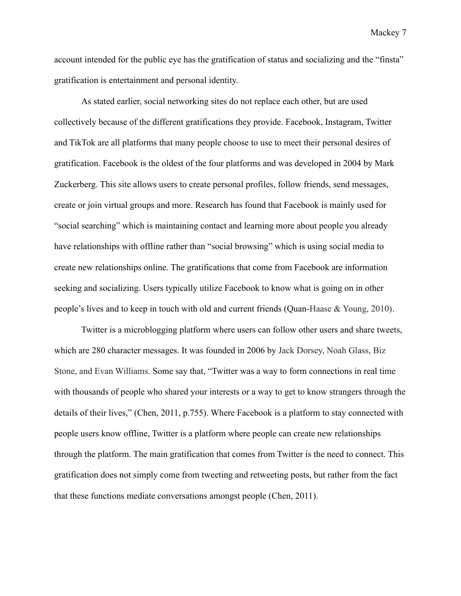account intended for the public eye has the gratification of status and socializing and the "finsta" gratification is entertainment and personal identity.

As stated earlier, social networking sites do not replace each other, but are used collectively because of the different gratifications they provide. Facebook, Instagram, Twitter and TikTok are all platforms that many people choose to use to meet their personal desires of gratification. Facebook is the oldest of the four platforms and was developed in 2004 by Mark Zuckerberg. This site allows users to create personal profiles, follow friends, send messages, create or join virtual groups and more. Research has found that Facebook is mainly used for "social searching" which is maintaining contact and learning more about people you already have relationships with offline rather than "social browsing" which is using social media to create new relationships online. The gratifications that come from Facebook are information seeking and socializing. Users typically utilize Facebook to know what is going on in other people's lives and to keep in touch with old and current friends (Quan-Haase & Young, 2010).

Twitter is a microblogging platform where users can follow other users and share tweets, which are 280 character messages. It was founded in 2006 by Jack Dorsey, Noah Glass, Biz Stone, and Evan Williams. Some say that, "Twitter was a way to form connections in real time with thousands of people who shared your interests or a way to get to know strangers through the details of their lives," (Chen, 2011, p.755). Where Facebook is a platform to stay connected with people users know offline, Twitter is a platform where people can create new relationships through the platform. The main gratification that comes from Twitter is the need to connect. This gratification does not simply come from tweeting and retweeting posts, but rather from the fact that these functions mediate conversations amongst people (Chen, 2011).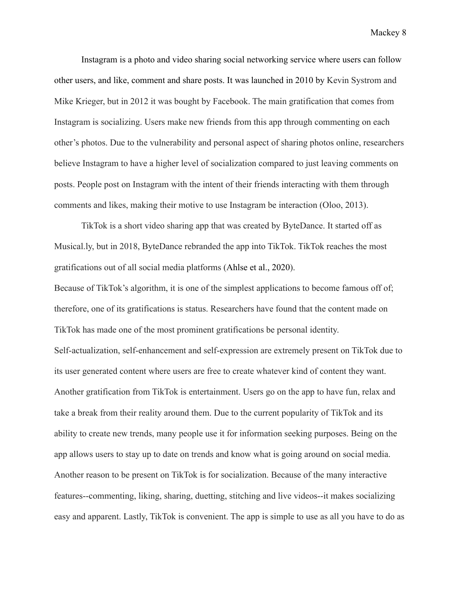Instagram is a photo and video sharing social networking service where users can follow other users, and like, comment and share posts. It was launched in 2010 by Kevin Systrom and Mike Krieger, but in 2012 it was bought by Facebook. The main gratification that comes from Instagram is socializing. Users make new friends from this app through commenting on each other's photos. Due to the vulnerability and personal aspect of sharing photos online, researchers believe Instagram to have a higher level of socialization compared to just leaving comments on posts. People post on Instagram with the intent of their friends interacting with them through comments and likes, making their motive to use Instagram be interaction (Oloo, 2013).

TikTok is a short video sharing app that was created by ByteDance. It started off as Musical.ly, but in 2018, ByteDance rebranded the app into TikTok. TikTok reaches the most gratifications out of all social media platforms (Ahlse et al., 2020).

Because of TikTok's algorithm, it is one of the simplest applications to become famous off of; therefore, one of its gratifications is status. Researchers have found that the content made on TikTok has made one of the most prominent gratifications be personal identity. Self-actualization, self-enhancement and self-expression are extremely present on TikTok due to its user generated content where users are free to create whatever kind of content they want. Another gratification from TikTok is entertainment. Users go on the app to have fun, relax and take a break from their reality around them. Due to the current popularity of TikTok and its ability to create new trends, many people use it for information seeking purposes. Being on the app allows users to stay up to date on trends and know what is going around on social media. Another reason to be present on TikTok is for socialization. Because of the many interactive features--commenting, liking, sharing, duetting, stitching and live videos--it makes socializing easy and apparent. Lastly, TikTok is convenient. The app is simple to use as all you have to do as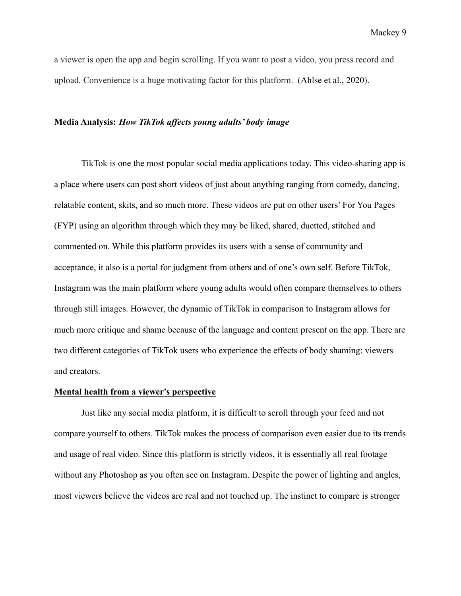a viewer is open the app and begin scrolling. If you want to post a video, you press record and upload. Convenience is a huge motivating factor for this platform. (Ahlse et al., 2020).

#### **Media Analysis:** *How TikTok affects young adults' body image*

TikTok is one the most popular social media applications today. This video-sharing app is a place where users can post short videos of just about anything ranging from comedy, dancing, relatable content, skits, and so much more. These videos are put on other users' For You Pages (FYP) using an algorithm through which they may be liked, shared, duetted, stitched and commented on. While this platform provides its users with a sense of community and acceptance, it also is a portal for judgment from others and of one's own self. Before TikTok, Instagram was the main platform where young adults would often compare themselves to others through still images. However, the dynamic of TikTok in comparison to Instagram allows for much more critique and shame because of the language and content present on the app. There are two different categories of TikTok users who experience the effects of body shaming: viewers and creators.

#### **Mental health from a viewer's perspective**

Just like any social media platform, it is difficult to scroll through your feed and not compare yourself to others. TikTok makes the process of comparison even easier due to its trends and usage of real video. Since this platform is strictly videos, it is essentially all real footage without any Photoshop as you often see on Instagram. Despite the power of lighting and angles, most viewers believe the videos are real and not touched up. The instinct to compare is stronger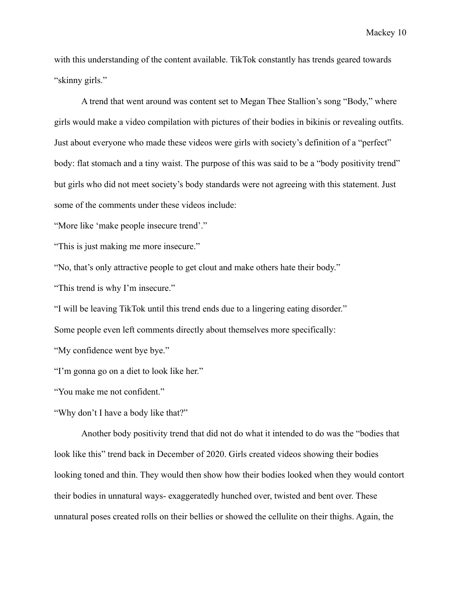with this understanding of the content available. TikTok constantly has trends geared towards "skinny girls."

A trend that went around was content set to Megan Thee Stallion's song "Body," where girls would make a video compilation with pictures of their bodies in bikinis or revealing outfits. Just about everyone who made these videos were girls with society's definition of a "perfect" body: flat stomach and a tiny waist. The purpose of this was said to be a "body positivity trend" but girls who did not meet society's body standards were not agreeing with this statement. Just some of the comments under these videos include:

"More like 'make people insecure trend'."

"This is just making me more insecure."

"No, that's only attractive people to get clout and make others hate their body."

"This trend is why I'm insecure."

"I will be leaving TikTok until this trend ends due to a lingering eating disorder."

Some people even left comments directly about themselves more specifically:

"My confidence went bye bye."

"I'm gonna go on a diet to look like her."

"You make me not confident."

"Why don't I have a body like that?"

Another body positivity trend that did not do what it intended to do was the "bodies that look like this" trend back in December of 2020. Girls created videos showing their bodies looking toned and thin. They would then show how their bodies looked when they would contort their bodies in unnatural ways- exaggeratedly hunched over, twisted and bent over. These unnatural poses created rolls on their bellies or showed the cellulite on their thighs. Again, the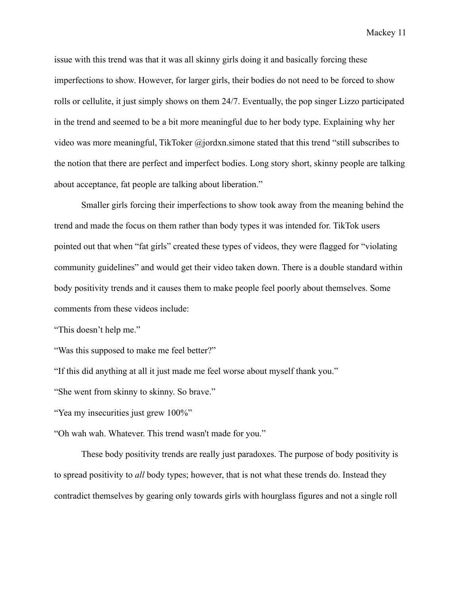issue with this trend was that it was all skinny girls doing it and basically forcing these imperfections to show. However, for larger girls, their bodies do not need to be forced to show rolls or cellulite, it just simply shows on them 24/7. Eventually, the pop singer Lizzo participated in the trend and seemed to be a bit more meaningful due to her body type. Explaining why her video was more meaningful, TikToker @jordxn.simone stated that this trend "still subscribes to the notion that there are perfect and imperfect bodies. Long story short, skinny people are talking about acceptance, fat people are talking about liberation."

Smaller girls forcing their imperfections to show took away from the meaning behind the trend and made the focus on them rather than body types it was intended for. TikTok users pointed out that when "fat girls" created these types of videos, they were flagged for "violating community guidelines" and would get their video taken down. There is a double standard within body positivity trends and it causes them to make people feel poorly about themselves. Some comments from these videos include:

"This doesn't help me."

"Was this supposed to make me feel better?"

"If this did anything at all it just made me feel worse about myself thank you."

"She went from skinny to skinny. So brave."

"Yea my insecurities just grew 100%"

"Oh wah wah. Whatever. This trend wasn't made for you."

These body positivity trends are really just paradoxes. The purpose of body positivity is to spread positivity to *all* body types; however, that is not what these trends do. Instead they contradict themselves by gearing only towards girls with hourglass figures and not a single roll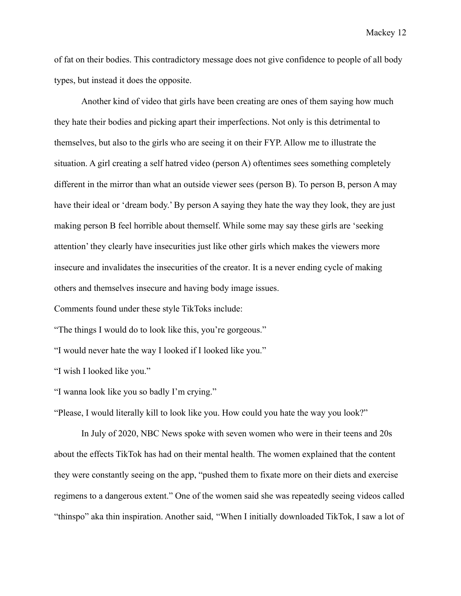of fat on their bodies. This contradictory message does not give confidence to people of all body types, but instead it does the opposite.

Another kind of video that girls have been creating are ones of them saying how much they hate their bodies and picking apart their imperfections. Not only is this detrimental to themselves, but also to the girls who are seeing it on their FYP. Allow me to illustrate the situation. A girl creating a self hatred video (person A) oftentimes sees something completely different in the mirror than what an outside viewer sees (person B). To person B, person A may have their ideal or 'dream body.' By person A saying they hate the way they look, they are just making person B feel horrible about themself. While some may say these girls are 'seeking attention' they clearly have insecurities just like other girls which makes the viewers more insecure and invalidates the insecurities of the creator. It is a never ending cycle of making others and themselves insecure and having body image issues.

Comments found under these style TikToks include:

"The things I would do to look like this, you're gorgeous."

"I would never hate the way I looked if I looked like you."

"I wish I looked like you."

"I wanna look like you so badly I'm crying."

"Please, I would literally kill to look like you. How could you hate the way you look?"

In July of 2020, NBC News spoke with seven women who were in their teens and 20s about the effects TikTok has had on their mental health. The women explained that the content they were constantly seeing on the app, "pushed them to fixate more on their diets and exercise regimens to a dangerous extent." One of the women said she was repeatedly seeing videos called "thinspo" aka thin inspiration. Another said, "When I initially downloaded TikTok, I saw a lot of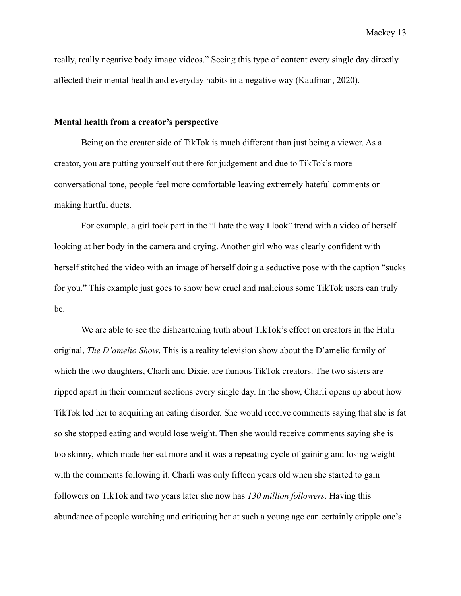really, really negative body image videos." Seeing this type of content every single day directly affected their mental health and everyday habits in a negative way (Kaufman, 2020).

#### **Mental health from a creator's perspective**

Being on the creator side of TikTok is much different than just being a viewer. As a creator, you are putting yourself out there for judgement and due to TikTok's more conversational tone, people feel more comfortable leaving extremely hateful comments or making hurtful duets.

For example, a girl took part in the "I hate the way I look" trend with a video of herself looking at her body in the camera and crying. Another girl who was clearly confident with herself stitched the video with an image of herself doing a seductive pose with the caption "sucks for you." This example just goes to show how cruel and malicious some TikTok users can truly be.

We are able to see the disheartening truth about TikTok's effect on creators in the Hulu original, *The D'amelio Show*. This is a reality television show about the D'amelio family of which the two daughters, Charli and Dixie, are famous TikTok creators. The two sisters are ripped apart in their comment sections every single day. In the show, Charli opens up about how TikTok led her to acquiring an eating disorder. She would receive comments saying that she is fat so she stopped eating and would lose weight. Then she would receive comments saying she is too skinny, which made her eat more and it was a repeating cycle of gaining and losing weight with the comments following it. Charli was only fifteen years old when she started to gain followers on TikTok and two years later she now has *130 million followers*. Having this abundance of people watching and critiquing her at such a young age can certainly cripple one's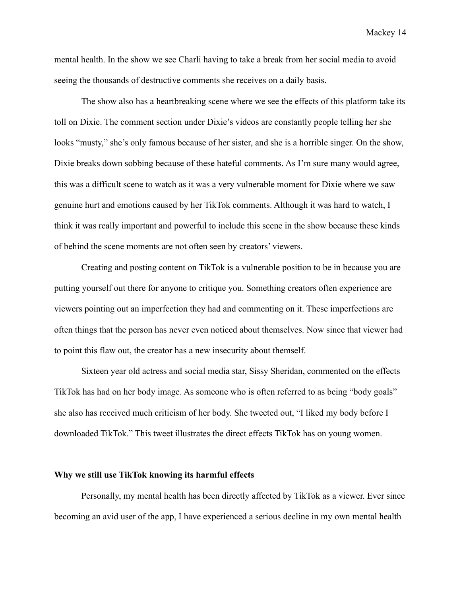mental health. In the show we see Charli having to take a break from her social media to avoid seeing the thousands of destructive comments she receives on a daily basis.

The show also has a heartbreaking scene where we see the effects of this platform take its toll on Dixie. The comment section under Dixie's videos are constantly people telling her she looks "musty," she's only famous because of her sister, and she is a horrible singer. On the show, Dixie breaks down sobbing because of these hateful comments. As I'm sure many would agree, this was a difficult scene to watch as it was a very vulnerable moment for Dixie where we saw genuine hurt and emotions caused by her TikTok comments. Although it was hard to watch, I think it was really important and powerful to include this scene in the show because these kinds of behind the scene moments are not often seen by creators' viewers.

Creating and posting content on TikTok is a vulnerable position to be in because you are putting yourself out there for anyone to critique you. Something creators often experience are viewers pointing out an imperfection they had and commenting on it. These imperfections are often things that the person has never even noticed about themselves. Now since that viewer had to point this flaw out, the creator has a new insecurity about themself.

Sixteen year old actress and social media star, Sissy Sheridan, commented on the effects TikTok has had on her body image. As someone who is often referred to as being "body goals" she also has received much criticism of her body. She tweeted out, "I liked my body before I downloaded TikTok." This tweet illustrates the direct effects TikTok has on young women.

## **Why we still use TikTok knowing its harmful effects**

Personally, my mental health has been directly affected by TikTok as a viewer. Ever since becoming an avid user of the app, I have experienced a serious decline in my own mental health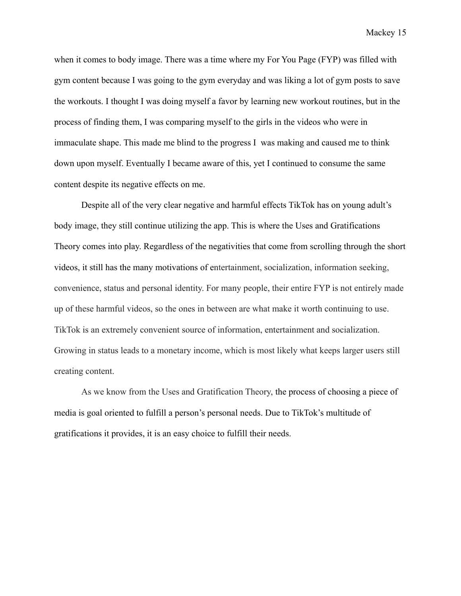when it comes to body image. There was a time where my For You Page (FYP) was filled with gym content because I was going to the gym everyday and was liking a lot of gym posts to save the workouts. I thought I was doing myself a favor by learning new workout routines, but in the process of finding them, I was comparing myself to the girls in the videos who were in immaculate shape. This made me blind to the progress I was making and caused me to think down upon myself. Eventually I became aware of this, yet I continued to consume the same content despite its negative effects on me.

Despite all of the very clear negative and harmful effects TikTok has on young adult's body image, they still continue utilizing the app. This is where the Uses and Gratifications Theory comes into play. Regardless of the negativities that come from scrolling through the short videos, it still has the many motivations of entertainment, socialization, information seeking, convenience, status and personal identity. For many people, their entire FYP is not entirely made up of these harmful videos, so the ones in between are what make it worth continuing to use. TikTok is an extremely convenient source of information, entertainment and socialization. Growing in status leads to a monetary income, which is most likely what keeps larger users still creating content.

As we know from the Uses and Gratification Theory, the process of choosing a piece of media is goal oriented to fulfill a person's personal needs. Due to TikTok's multitude of gratifications it provides, it is an easy choice to fulfill their needs.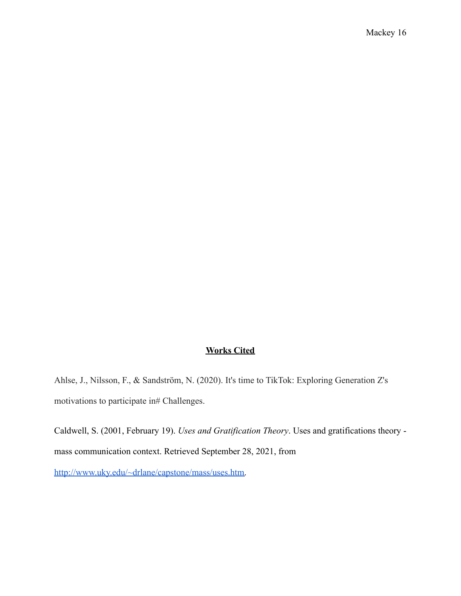# **Works Cited**

Ahlse, J., Nilsson, F., & Sandström, N. (2020). It's time to TikTok: Exploring Generation Z's motivations to participate in# Challenges.

Caldwell, S. (2001, February 19). *Uses and Gratification Theory*. Uses and gratifications theory mass communication context. Retrieved September 28, 2021, from

[http://www.uky.edu/~drlane/capstone/mass/uses.htm.](http://www.uky.edu/~drlane/capstone/mass/uses.htm)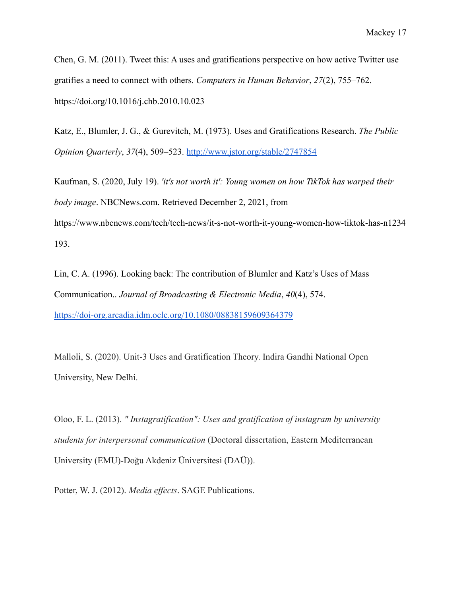Chen, G. M. (2011). Tweet this: A uses and gratifications perspective on how active Twitter use gratifies a need to connect with others. *Computers in Human Behavior*, *27*(2), 755–762. https://doi.org/10.1016/j.chb.2010.10.023

Katz, E., Blumler, J. G., & Gurevitch, M. (1973). Uses and Gratifications Research. *The Public Opinion Quarterly*, *37*(4), 509–523. <http://www.jstor.org/stable/2747854>

Kaufman, S. (2020, July 19). *'it's not worth it': Young women on how TikTok has warped their body image*. NBCNews.com. Retrieved December 2, 2021, from https://www.nbcnews.com/tech/tech-news/it-s-not-worth-it-young-women-how-tiktok-has-n1234 193.

Lin, C. A. (1996). Looking back: The contribution of Blumler and Katz's Uses of Mass Communication.. *Journal of Broadcasting & Electronic Media*, *40*(4), 574. <https://doi-org.arcadia.idm.oclc.org/10.1080/08838159609364379>

Malloli, S. (2020). Unit-3 Uses and Gratification Theory. Indira Gandhi National Open University, New Delhi.

Oloo, F. L. (2013). *" Instagratification": Uses and gratification of instagram by university students for interpersonal communication* (Doctoral dissertation, Eastern Mediterranean University (EMU)-Doğu Akdeniz Üniversitesi (DAÜ)).

Potter, W. J. (2012). *Media effects*. SAGE Publications.